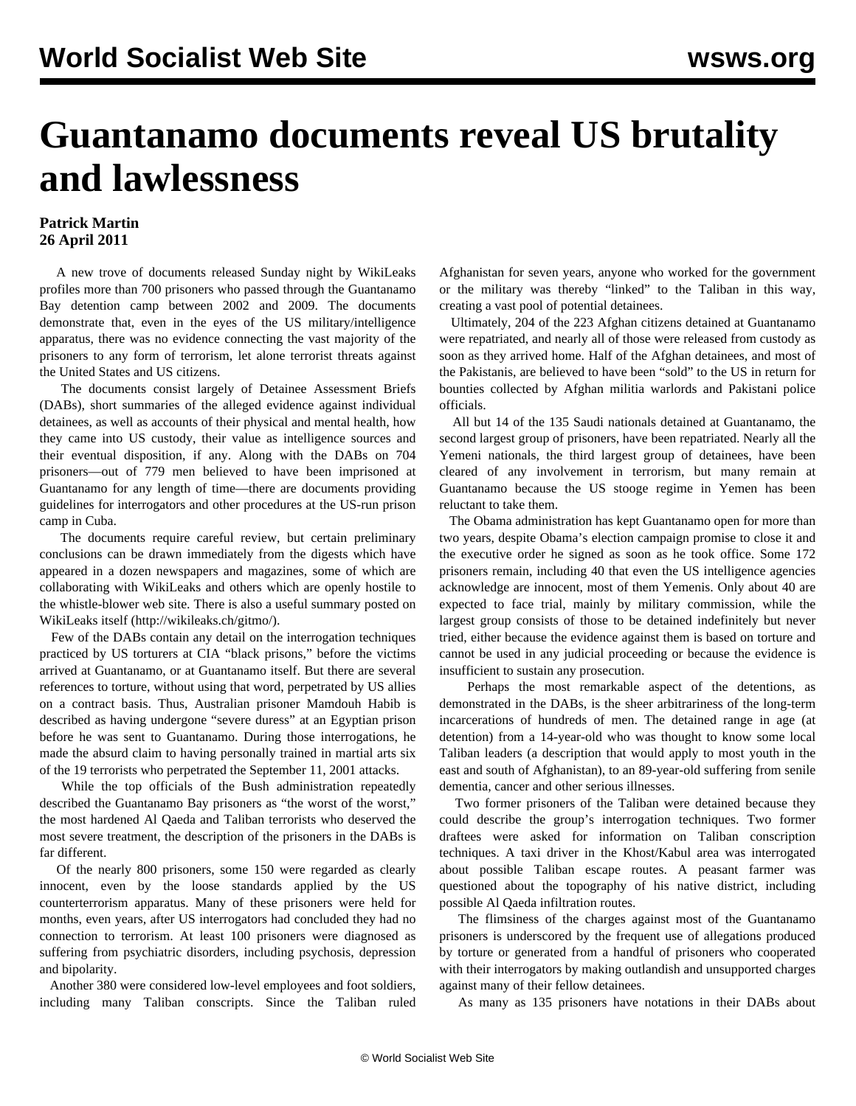## **Guantanamo documents reveal US brutality and lawlessness**

## **Patrick Martin 26 April 2011**

 A new trove of documents released Sunday night by WikiLeaks profiles more than 700 prisoners who passed through the Guantanamo Bay detention camp between 2002 and 2009. The documents demonstrate that, even in the eyes of the US military/intelligence apparatus, there was no evidence connecting the vast majority of the prisoners to any form of terrorism, let alone terrorist threats against the United States and US citizens.

 The documents consist largely of Detainee Assessment Briefs (DABs), short summaries of the alleged evidence against individual detainees, as well as accounts of their physical and mental health, how they came into US custody, their value as intelligence sources and their eventual disposition, if any. Along with the DABs on 704 prisoners—out of 779 men believed to have been imprisoned at Guantanamo for any length of time—there are documents providing guidelines for interrogators and other procedures at the US-run prison camp in Cuba.

 The documents require careful review, but certain preliminary conclusions can be drawn immediately from the digests which have appeared in a dozen newspapers and magazines, some of which are collaborating with WikiLeaks and others which are openly hostile to the whistle-blower web site. There is also a useful summary posted on WikiLeaks itself (http://wikileaks.ch/gitmo/).

 Few of the DABs contain any detail on the interrogation techniques practiced by US torturers at CIA "black prisons," before the victims arrived at Guantanamo, or at Guantanamo itself. But there are several references to torture, without using that word, perpetrated by US allies on a contract basis. Thus, Australian prisoner Mamdouh Habib is described as having undergone "severe duress" at an Egyptian prison before he was sent to Guantanamo. During those interrogations, he made the absurd claim to having personally trained in martial arts six of the 19 terrorists who perpetrated the September 11, 2001 attacks.

 While the top officials of the Bush administration repeatedly described the Guantanamo Bay prisoners as "the worst of the worst," the most hardened Al Qaeda and Taliban terrorists who deserved the most severe treatment, the description of the prisoners in the DABs is far different.

 Of the nearly 800 prisoners, some 150 were regarded as clearly innocent, even by the loose standards applied by the US counterterrorism apparatus. Many of these prisoners were held for months, even years, after US interrogators had concluded they had no connection to terrorism. At least 100 prisoners were diagnosed as suffering from psychiatric disorders, including psychosis, depression and bipolarity.

 Another 380 were considered low-level employees and foot soldiers, including many Taliban conscripts. Since the Taliban ruled Afghanistan for seven years, anyone who worked for the government or the military was thereby "linked" to the Taliban in this way, creating a vast pool of potential detainees.

 Ultimately, 204 of the 223 Afghan citizens detained at Guantanamo were repatriated, and nearly all of those were released from custody as soon as they arrived home. Half of the Afghan detainees, and most of the Pakistanis, are believed to have been "sold" to the US in return for bounties collected by Afghan militia warlords and Pakistani police officials.

 All but 14 of the 135 Saudi nationals detained at Guantanamo, the second largest group of prisoners, have been repatriated. Nearly all the Yemeni nationals, the third largest group of detainees, have been cleared of any involvement in terrorism, but many remain at Guantanamo because the US stooge regime in Yemen has been reluctant to take them.

 The Obama administration has kept Guantanamo open for more than two years, despite Obama's election campaign promise to close it and the executive order he signed as soon as he took office. Some 172 prisoners remain, including 40 that even the US intelligence agencies acknowledge are innocent, most of them Yemenis. Only about 40 are expected to face trial, mainly by military commission, while the largest group consists of those to be detained indefinitely but never tried, either because the evidence against them is based on torture and cannot be used in any judicial proceeding or because the evidence is insufficient to sustain any prosecution.

 Perhaps the most remarkable aspect of the detentions, as demonstrated in the DABs, is the sheer arbitrariness of the long-term incarcerations of hundreds of men. The detained range in age (at detention) from a 14-year-old who was thought to know some local Taliban leaders (a description that would apply to most youth in the east and south of Afghanistan), to an 89-year-old suffering from senile dementia, cancer and other serious illnesses.

 Two former prisoners of the Taliban were detained because they could describe the group's interrogation techniques. Two former draftees were asked for information on Taliban conscription techniques. A taxi driver in the Khost/Kabul area was interrogated about possible Taliban escape routes. A peasant farmer was questioned about the topography of his native district, including possible Al Qaeda infiltration routes.

 The flimsiness of the charges against most of the Guantanamo prisoners is underscored by the frequent use of allegations produced by torture or generated from a handful of prisoners who cooperated with their interrogators by making outlandish and unsupported charges against many of their fellow detainees.

As many as 135 prisoners have notations in their DABs about